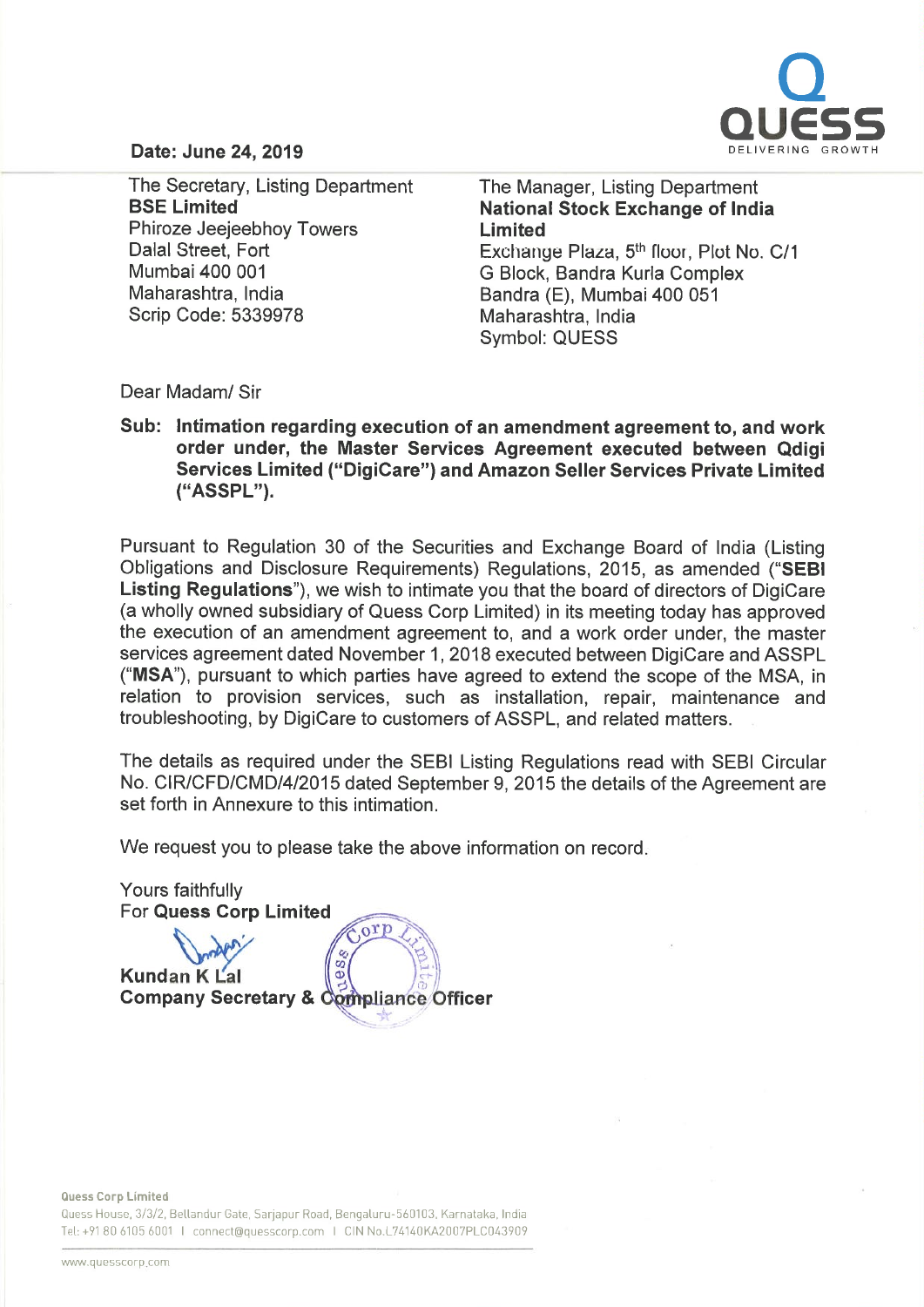

## Date: June 24, 2019

The Secretary, Listing Department BSE Limited Phiroze Jeejeebhoy Towers Dalal Street, Fort Mumbai 400 001 Maharashtra, India Scrip Code: 5339978

The Manager, Listing Department National Stock Exchange of India Limited Exchange Plaza, 5<sup>th</sup> floor, Plot No. C/1 G Block, Sandra Kurla Complex Sandra (E), Mumbai 400 051 Maharashtra, India Symbol: QUESS

Dear Madam/ Sir

Sub: Intimation regarding execution of an amendment agreement to, and work order under, the Master Services Agreement executed between Qdigi Services Limited ("DigiCare") and Amazon Seller Services Private Limited ("ASSPL").

Pursuant to Regulation 30 of the Securities and Exchange Board of India (Listing Obligations and Disclosure Requirements) Regulations, 2015, as amended ("SEBI Listing Regulations"), we wish to intimate you that the board of directors of DigiCare (a wholly owned subsidiary of Quess Corp Limited) in its meeting today has approved the execution of an amendment agreement to, and <sup>a</sup> work order under, the master services agreement dated November 1, 2018 executed between DigiCare and ASSPL ("MSA"), pursuant to which parties have agreed to extend the scope of the MSA, in relation to provision services, such as installation, repair, maintenance and troubleshooting, by DigiCare to customers of ASSPL, and related matters.

The details as required under the SEBI Listing Regulations read with SEBI Circular No. CIR/CFD/CMD/4/2015 dated September 9, 2015 the details of the Agreement are set forth in Annexure to this intimation.

We request you to please take the above information on record.



Quess Corp limited

Quess House, 3/3/2, Bellandur Gate, Sarjapur Road, Bengaluru-560103. Karnataka, India Tel: +91 80 6105 6001 I connect@quesscorp.com I CIN No.L74140KA2007PLC043909